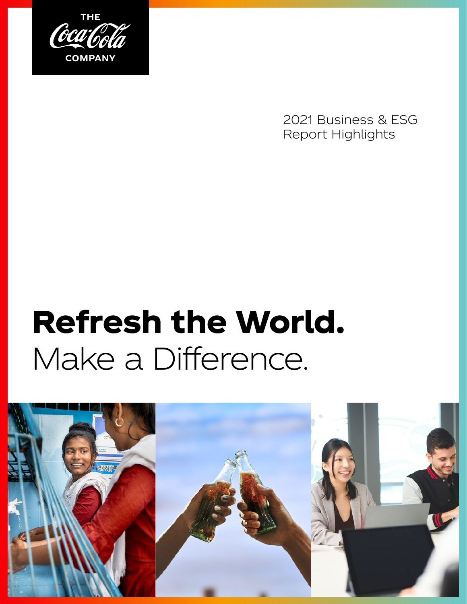

2021 Business & ESG Report Highlights

# Refresh the World. Make a Difference.

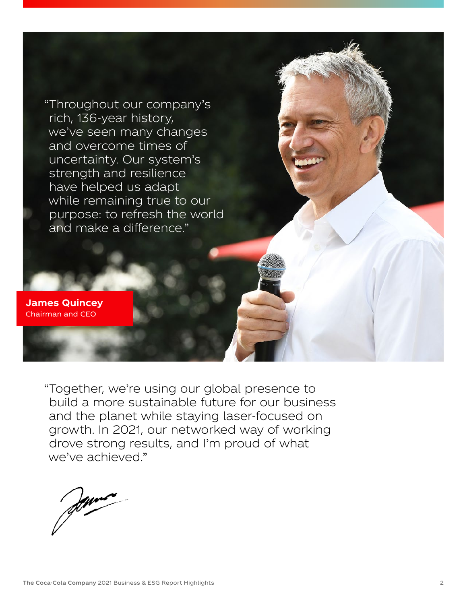

**James Quincey** Chairman and CEO

> "Together, we're using our global presence to build a more sustainable future for our business and the planet while staying laser-focused on growth. In 2021, our networked way of working drove strong results, and I'm proud of what we've achieved."

Jenne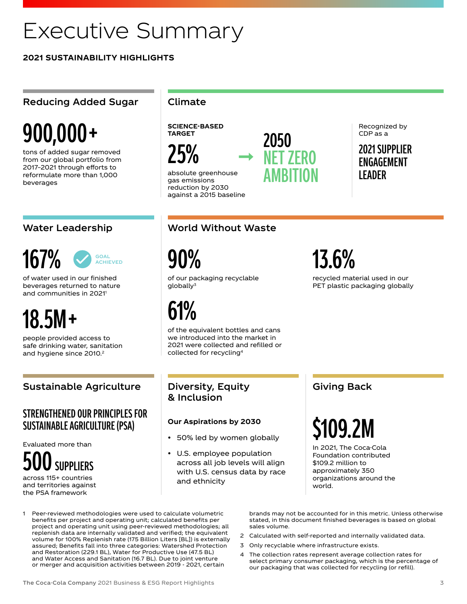# Executive Summary

**2021 SUSTAINABILITY HIGHLIGHTS**

### Reducing Added Sugar | Climate

# 900,000+

tons of added sugar removed from our global portfolio from 2017–2021 through efforts to reformulate more than 1,000 beverages

#### 167% **GOAL ACHIEVED**

of water used in our finished beverages returned to nature and communities in 2021<sup>1</sup>

# 18.5M+

people provided access to safe drinking water, sanitation and hygiene since 2010.<sup>2</sup>

### Sustainable Agriculture

### STRENGTHENED OUR PRINCIPLES FOR SUSTAINABLE AGRICULTURE (PSA)

Evaluated more than



across 115+ countries and territories against the PSA framework

**SCIENCE-BASED TARGET**

25%

absolute greenhouse gas emissions reduction by 2030 against a 2015 baseline

### Water Leadership World Without Waste

2050

NET ZERO

AMBITION

90%

of our packaging recyclable globally<sup>3</sup>

61%

of the equivalent bottles and cans we introduced into the market in 2021 were collected and refilled or collected for recycling<sup>4</sup>

### Diversity, Equity & Inclusion

### **Our Aspirations by 2030**

- 50% led by women globally
- U.S. employee population across all job levels will align with U.S. census data by race and ethnicity

### Giving Back

13.6%

recycled material used in our PET plastic packaging globally

# \$109.2M

In 2021, The Coca-Cola Foundation contributed \$109.2 million to approximately 350 organizations around the world.

1 Peer-reviewed methodologies were used to calculate volumetric benefits per project and operating unit; calculated benefits per project and operating unit using peer-reviewed methodologies; all replenish data are internally validated and verified; the equivalent volume for 100% Replenish rate (175 Billion Liters [BL]) is externally assured; Benefits fall into three categories: Watershed Protection and Restoration (229.1 BL), Water for Productive Use (47.5 BL) and Water Access and Sanitation (16.7 BL). Due to joint venture or merger and acquisition activities between 2019 - 2021, certain

brands may not be accounted for in this metric. Unless otherwise stated, in this document finished beverages is based on global sales volume.

- 2 Calculated with self-reported and internally validated data.
- 3 Only recyclable where infrastructure exists.
- 4 The collection rates represent average collection rates for select primary consumer packaging, which is the percentage of our packaging that was collected for recycling (or refill).

Recognized by CDP as a

2021 SUPPLIER ENGAGEMENT LEADER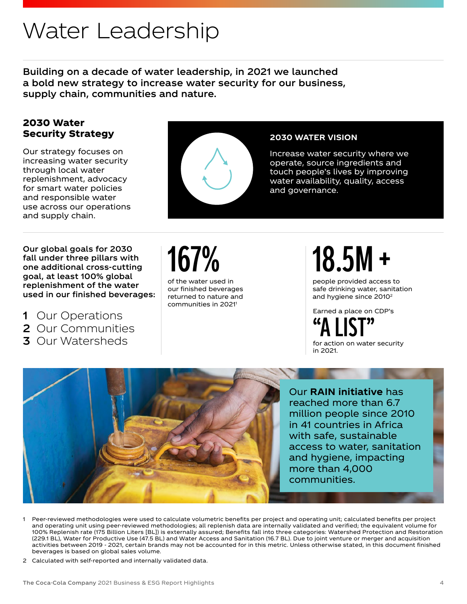# Water Leadership

Building on a decade of water leadership, in 2021 we launched a bold new strategy to increase water security for our business, supply chain, communities and nature.

### 2030 Water Security Strategy

Our strategy focuses on increasing water security through local water replenishment, advocacy for smart water policies and responsible water use across our operations and supply chain.



### **2030 WATER VISION**

Increase water security where we operate, source ingredients and touch people's lives by improving water availability, quality, access and governance.

Our global goals for 2030 fall under three pillars with one additional cross-cutting goal, at least 100% global replenishment of the water used in our finished beverages:

- 1 Our Operations
- 2 Our Communities
- 3 Our Watersheds



of the water used in our finished beverages returned to nature and communities in 2021<sup>1</sup>

# 18.5M+

people provided access to safe drinking water, sanitation and hygiene since 2010<sup>2</sup>

Earned a place on CDP's

"A LIST" for action on water security in 2021.



- 1 Peer-reviewed methodologies were used to calculate volumetric benefits per project and operating unit; calculated benefits per project and operating unit using peer-reviewed methodologies; all replenish data are internally validated and verified; the equivalent volume for 100% Replenish rate (175 Billion Liters [BL]) is externally assured; Benefits fall into three categories: Watershed Protection and Restoration (229.1 BL), Water for Productive Use (47.5 BL) and Water Access and Sanitation (16.7 BL). Due to joint venture or merger and acquisition activities between 2019 - 2021, certain brands may not be accounted for in this metric. Unless otherwise stated, in this document finished beverages is based on global sales volume.
- 2 Calculated with self-reported and internally validated data.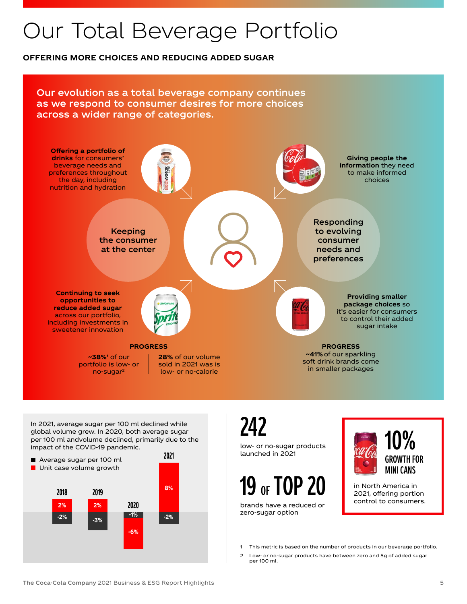# Our Total Beverage Portfolio

### **OFFERING MORE CHOICES AND REDUCING ADDED SUGAR**

Our evolution as a total beverage company continues as we respond to consumer desires for more choices across a wider range of categories.



In 2021, average sugar per 100 ml declined while global volume grew. In 2020, both average sugar per 100 ml andvolume declined, primarily due to the impact of the COVID-19 pandemic.



242

low- or no-sugar products launched in 2021

# 19 OF TOP 20

brands have a reduced or zero-sugar option



in North America in 2021, offering portion control to consumers.

- 1 This metric is based on the number of products in our beverage portfolio.
- 2 Low- or no-sugar products have between zero and 5g of added sugar per 100 ml.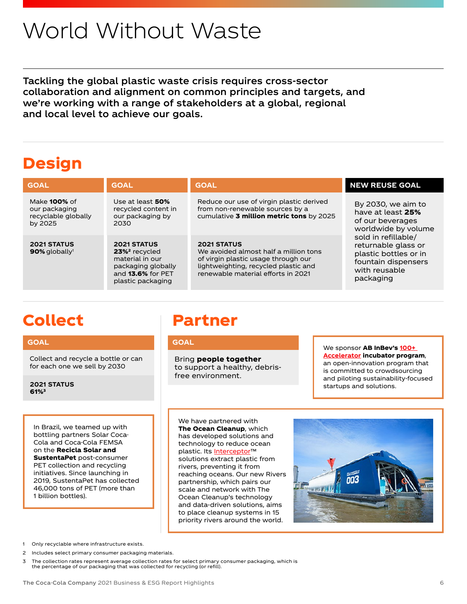# World Without Waste

Tackling the global plastic waste crisis requires cross-sector collaboration and alignment on common principles and targets, and we're working with a range of stakeholders at a global, regional and local level to achieve our goals.

# Design

| <b>GOAL</b>                                                            | <b>GOAL</b>                                                                                                                               | <b>GOAL</b>                                                                                                                                                                      | <b>NEW REUSE GOAL</b>                                                                                                                                                                                          |
|------------------------------------------------------------------------|-------------------------------------------------------------------------------------------------------------------------------------------|----------------------------------------------------------------------------------------------------------------------------------------------------------------------------------|----------------------------------------------------------------------------------------------------------------------------------------------------------------------------------------------------------------|
| Make <b>100%</b> of<br>our packaging<br>recyclable globally<br>by 2025 | Use at least <b>50%</b><br>recycled content in<br>our packaging by<br>2030                                                                | Reduce our use of virgin plastic derived<br>from non-renewable sources by a<br>cumulative 3 million metric tons by 2025                                                          | By 2030, we aim to<br>have at least 25%<br>of our beverages<br>worldwide by volume<br>sold in refillable/<br>returnable glass or<br>plastic bottles or in<br>fountain dispensers<br>with reusable<br>packaging |
| <b>2021 STATUS</b><br>$90\%$ globally <sup>1</sup>                     | <b>2021 STATUS</b><br>23% <sup>2</sup> recycled<br>material in our<br>packaging globally<br>and <b>13.6%</b> for PET<br>plastic packaging | <b>2021 STATUS</b><br>We avoided almost half a million tons<br>of virgin plastic usage through our<br>lightweighting, recycled plastic and<br>renewable material efforts in 2021 |                                                                                                                                                                                                                |

# Collect

### **GOAL**

Collect and recycle a bottle or can for each one we sell by 2030

**2021 STATUS** 61%3

#### In Brazil, we teamed up with bottling partners Solar Coca-Cola and Coca-Cola FEMSA on the Recicla Solar and SustentaPet post-consumer PET collection and recycling initiatives. Since launching in 2019, SustentaPet has collected 46,000 tons of PET (more than 1 billion bottles).

# Partner

#### **GOAL**

Bring people together to support a healthy, debrisfree environment.

#### We sponsor **AB InBev's 100+ [Accelerator](https://www.100accelerator.com/)** incubator program, an open-innovation program that is committed to crowdsourcing and piloting sustainability-focused startups and solutions.

We have partnered with The Ocean Cleanup, which has developed solutions and technology to reduce ocean plastic. Its [Interceptor™](https://theoceancleanup.com/rivers/) solutions extract plastic from rivers, preventing it from reaching oceans. Our new Rivers partnership, which pairs our scale and network with The Ocean Cleanup's technology and data-driven solutions, aims to place cleanup systems in 15 priority rivers around the world.



- 1 Only recyclable where infrastructure exists.
- 2 Includes select primary consumer packaging materials.
- 3 The collection rates represent average collection rates for select primary consumer packaging, which is the percentage of our packaging that was collected for recycling (or refill).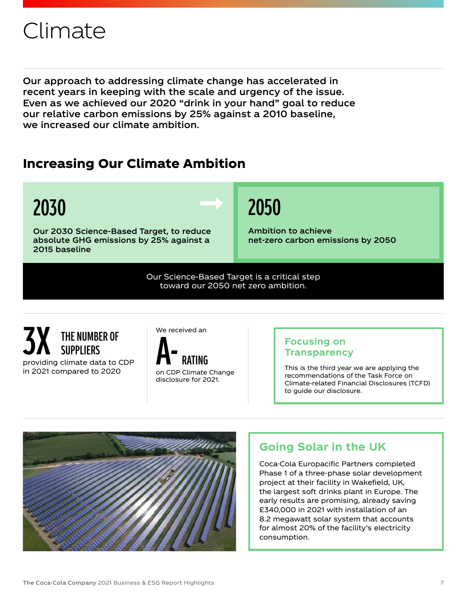# Climate

Our approach to addressing climate change has accelerated in recent years in keeping with the scale and urgency of the issue. Even as we achieved our 2020 "drink in your hand" goal to reduce our relative carbon emissions by 25% against a 2010 baseline, we increased our climate ambition.

# Increasing Our Climate Ambition

# 2030

Our 2030 Science-Based Target, to reduce absolute GHG emissions by 25% against a 2015 baseline

# 2050

Ambition to achieve net-zero carbon emissions by 2050

Our Science-Based Target is a critical step toward our 2050 net zero ambition.

### providing climate data to CDP in 2021 compared to 2020 THE NUMBER OF<br>SUPPLIFRS THE NUMBER OF<br>SUPPLIERS<br>climate data to CDP<br>means de SODP



on CDP Climate Change disclosure for 2021.

### **Focusing on Transparency**

This is the third year we are applying the recommendations of the Task Force on Climate-related Financial Disclosures (TCFD) to guide our disclosure.



## **Going Solar in the UK**

Coca-Cola Europacific Partners completed Phase 1 of a three-phase solar development project at their facility in Wakefield, UK, the largest soft drinks plant in Europe. The early results are promising, already saving £340,000 in 2021 with installation of an 8.2 megawatt solar system that accounts for almost 20% of the facility's electricity consumption.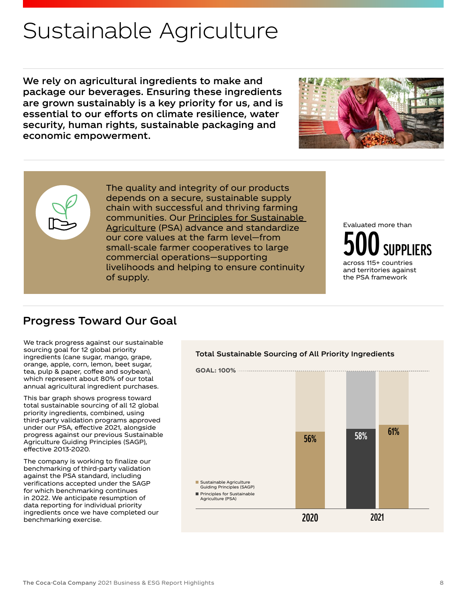# Sustainable Agriculture

We rely on agricultural ingredients to make and package our beverages. Ensuring these ingredients are grown sustainably is a key priority for us, and is essential to our efforts on climate resilience, water security, human rights, sustainable packaging and economic empowerment.



### Progress Toward Our Goal

We track progress against our sustainable sourcing goal for 12 global priority ingredients (cane sugar, mango, grape, orange, apple, corn, lemon, beet sugar, tea, pulp & paper, coffee and soybean), which represent about 80% of our total annual agricultural ingredient purchases.

This bar graph shows progress toward total sustainable sourcing of all 12 global priority ingredients, combined, using third-party validation programs approved under our PSA, effective 2021, alongside progress against our previous Sustainable Agriculture Guiding Principles (SAGP), effective 2013-2020.

The company is working to finalize our benchmarking of third-party validation against the PSA standard, including verifications accepted under the SAGP for which benchmarking continues in 2022. We anticipate resumption of data reporting for individual priority ingredients once we have completed our benchmarking exercise.



Total Sustainable Sourcing of All Priority Ingredients

2020 2021



500 SUPPLIERS Evaluated more than across 115+ countries

and territories against the PSA framework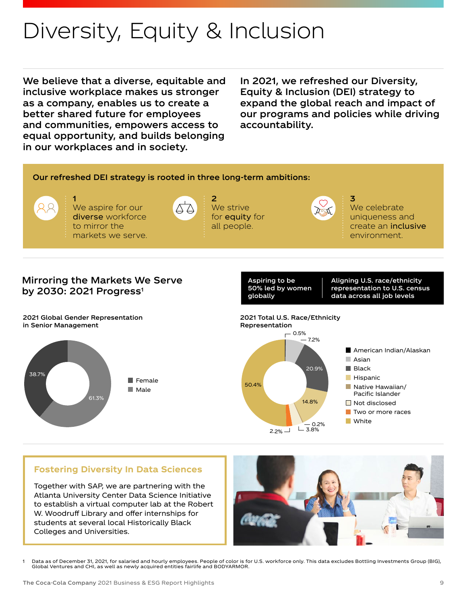# Diversity, Equity & Inclusion

We believe that a diverse, equitable and inclusive workplace makes us stronger as a company, enables us to create a better shared future for employees and communities, empowers access to equal opportunity, and builds belonging in our workplaces and in society.

In 2021, we refreshed our Diversity, Equity & Inclusion (DEI) strategy to expand the global reach and impact of our programs and policies while driving accountability.

3

### Our refreshed DEI strategy is rooted in three long-term ambitions:



1 We aspire for our diverse workforce to mirror the markets we serve.



We strive for **equity** for all people.

2



We celebrate uniqueness and create an inclusive environment.

### Mirroring the Markets We Serve by 2030: 2021 Progress<sup>1</sup>

2021 Global Gender Representation in Senior Management



Aspiring to be 50% led by women globally

Aligning U.S. race/ethnicity representation to U.S. census data across all job levels



### **Fostering Diversity In Data Sciences**

Together with SAP, we are partnering with the Atlanta University Center Data Science Initiative to establish a virtual computer lab at the Robert W. Woodruff Library and offer internships for students at several local Historically Black Colleges and Universities.



1 Data as of December 31, 2021, for salaried and hourly employees. People of color is for U.S. workforce only. This data excludes Bottling Investments Group (BIG), Global Ventures and CHI, as well as newly acquired entities fairlife and BODYARMOR.